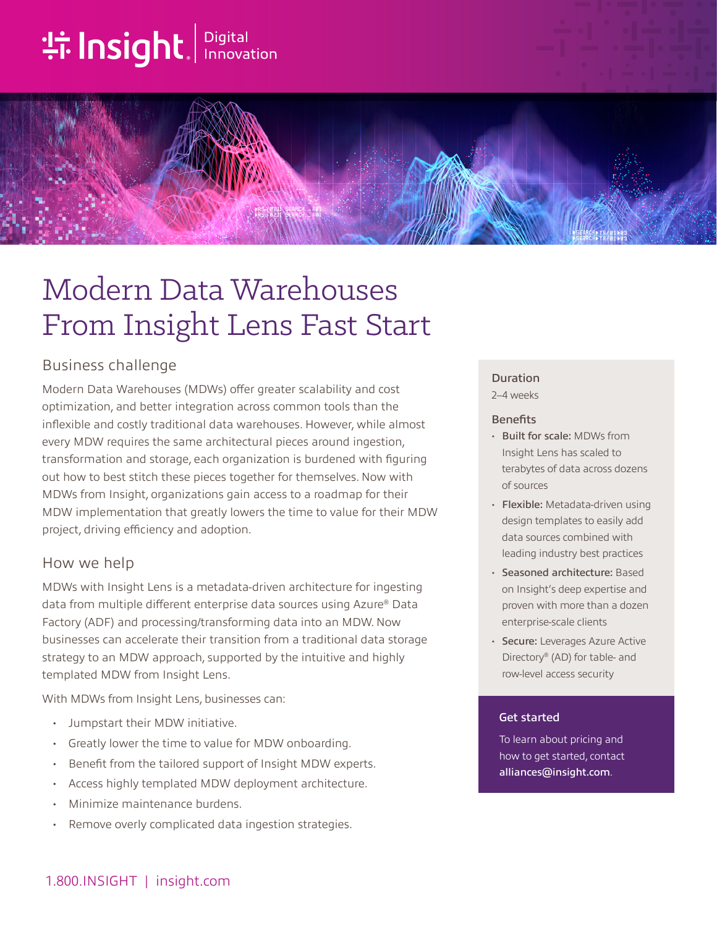# **the Insight**. Innovation



# Business challenge

Modern Data Warehouses (MDWs) offer greater scalability and cost optimization, and better integration across common tools than the inflexible and costly traditional data warehouses. However, while almost every MDW requires the same architectural pieces around ingestion, transformation and storage, each organization is burdened with figuring out how to best stitch these pieces together for themselves. Now with MDWs from Insight, organizations gain access to a roadmap for their MDW implementation that greatly lowers the time to value for their MDW project, driving efficiency and adoption.

## How we help

MDWs with Insight Lens is a metadata-driven architecture for ingesting data from multiple different enterprise data sources using Azure® Data Factory (ADF) and processing/transforming data into an MDW. Now businesses can accelerate their transition from a traditional data storage strategy to an MDW approach, supported by the intuitive and highly templated MDW from Insight Lens.

With MDWs from Insight Lens, businesses can:

- Jumpstart their MDW initiative.
- Greatly lower the time to value for MDW onboarding.
- Benefit from the tailored support of Insight MDW experts.
- Access highly templated MDW deployment architecture.
- Minimize maintenance burdens.
- Remove overly complicated data ingestion strategies.

## Duration

2–4 weeks

#### **Benefits**

- Built for scale: MDWs from Insight Lens has scaled to terabytes of data across dozens of sources
- Flexible: Metadata-driven using design templates to easily add data sources combined with leading industry best practices
- Seasoned architecture: Based on Insight's deep expertise and proven with more than a dozen enterprise-scale clients
- Secure: Leverages Azure Active Directory® (AD) for table- and row-level access security

#### Get started

To learn about pricing and how to get started, contact alliances@insight.com.